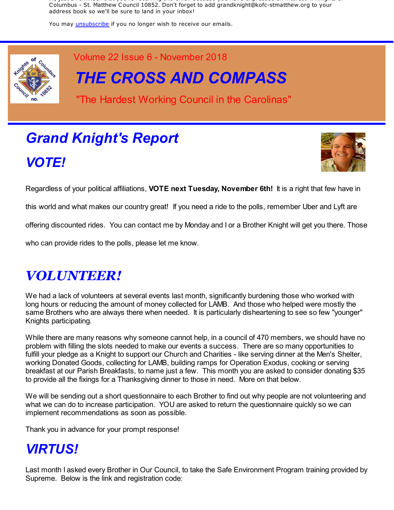Hi, just a reminder that you're receiving this email because you have expressed an interest in Knights of Columbus - St. Matthew Council 10852. Don't forget to add grandknight@kofc-stmatthew.org to your address book so we'll be sure to land in your inbox!

You may *unsubscribe* if you no longer wish to receive our emails.



Volume 22 Issue 6 - November 2018

*THE CROSS AND COMPASS*

"The Hardest Working Council in the Carolinas"

# *Grand Knight's Report VOTE!*



Regardless of your political affiliations, **VOTE next Tuesday, November 6th!** It is a right that few have in

this world and what makes our country great! If you need a ride to the polls, remember Uber and Lyft are

offering discounted rides. You can contact me by Monday and I or a Brother Knight will get you there. Those

who can provide rides to the polls, please let me know.

## *VOLUNTEER!*

We had a lack of volunteers at several events last month, significantly burdening those who worked with long hours or reducing the amount of money collected for LAMB. And those who helped were mostly the same Brothers who are always there when needed. It is particularly disheartening to see so few "younger" Knights participating.

While there are many reasons why someone cannot help, in a council of 470 members, we should have no problem with filling the slots needed to make our events a success. There are so many opportunities to fulfill your pledge as a Knight to support our Church and Charities - like serving dinner at the Men's Shelter, working Donated Goods, collecting for LAMB, building ramps for Operation Exodus, cooking or serving breakfast at our Parish Breakfasts, to name just a few. This month you are asked to consider donating \$35 to provide all the fixings for a Thanksgiving dinner to those in need. More on that below.

We will be sending out a short questionnaire to each Brother to find out why people are not volunteering and what we can do to increase participation. YOU are asked to return the questionnaire quickly so we can implement recommendations as soon as possible.

Thank you in advance for your prompt response!

## *VIRTUS!*

Last month I asked every Brother in Our Council, to take the Safe Environment Program training provided by Supreme. Below is the link and registration code: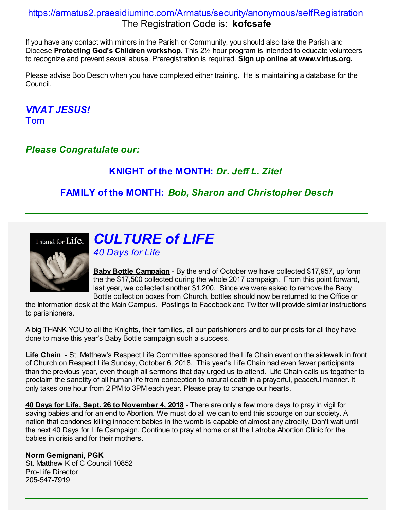### https://armatus2.praesidiuminc.com/Armatus/security/anonymous/selfRegistration The Registration Code is: **kofcsafe**

If you have any contact with minors in the Parish or Community, you should also take the Parish and Diocese **Protecting God's Children workshop**. This 2½ hour program is intended to educate volunteers to recognize and prevent sexual abuse. Preregistration is required. **Sign up online at www.virtus.org.**

Please advise Bob Desch when you have completed either training. He is maintaining a database for the Council.

*VIVAT JESUS!* Tom

*Please Congratulate our:*

### **KNIGHT of the MONTH:** *Dr. Jeff L. Zitel*

### **FAMILY of the MONTH:** *Bob, Sharon and Christopher Desch*



# *CULTURE of LIFE*

*40 Days for Life*

**Baby Bottle Campaign** - By the end of October we have collected \$17,957, up form the the \$17,500 collected during the whole 2017 campaign. From this point forward, last year, we collected another \$1,200. Since we were asked to remove the Baby Bottle collection boxes from Church, bottles should now be returned to the Office or

the Information desk at the Main Campus. Postings to Facebook and Twitter will provide similar instructions to parishioners.

A big THANK YOU to all the Knights, their families, all our parishioners and to our priests for all they have done to make this year's Baby Bottle campaign such a success.

**Life Chain** - St. Matthew's Respect Life Committee sponsored the Life Chain event on the sidewalk in front of Church on Respect Life Sunday, October 6, 2018. This year's Life Chain had even fewer participants than the previous year, even though all sermons that day urged us to attend. Life Chain calls us togather to proclaim the sanctity of all human life from conception to natural death in a prayerful, peaceful manner. It only takes one hour from 2 PM to 3PM each year. Please pray to change our hearts.

**40 Days for Life, Sept. 26 to November 4, 2018** - There are only a few more days to pray in vigil for saving babies and for an end to Abortion. We must do all we can to end this scourge on our society. A nation that condones killing innocent babies in the womb is capable of almost any atrocity. Don't wait until the next 40 Days for Life Campaign. Continue to pray at home or at the Latrobe Abortion Clinic for the babies in crisis and for their mothers.

**Norm Gemignani, PGK**

St. Matthew K of C Council 10852 Pro-Life Director 205-547-7919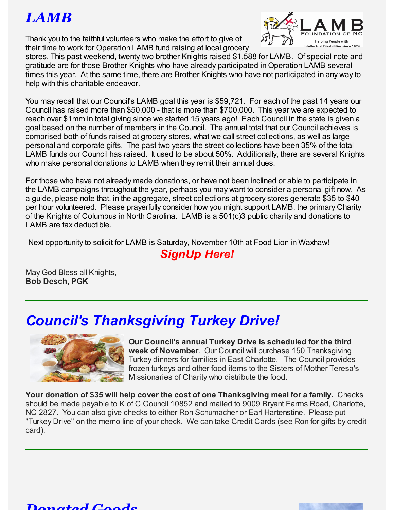# *LAMB*

Thank you to the faithful volunteers who make the effort to give of their time to work for Operation LAMB fund raising at local grocery



stores. This past weekend, twenty-two brother Knights raised \$1,588 for LAMB. Of special note and gratitude are for those Brother Knights who have already participated in Operation LAMB several times this year. At the same time, there are Brother Knights who have not participated in any way to help with this charitable endeavor.

You may recall that our Council's LAMB goal this year is \$59,721. For each of the past 14 years our Council has raised more than \$50,000 - that is more than \$700,000. This year we are expected to reach over \$1mm in total giving since we started 15 years ago! Each Council in the state is given a goal based on the number of members in the Council. The annual total that our Council achieves is comprised both of funds raised at grocery stores, what we call street collections, as well as large personal and corporate gifts. The past two years the street collections have been 35% of the total LAMB funds our Council has raised. It used to be about 50%. Additionally, there are several Knights who make personal donations to LAMB when they remit their annual dues.

For those who have not already made donations, or have not been inclined or able to participate in the LAMB campaigns throughout the year, perhaps you may want to consider a personal gift now. As a guide, please note that, in the aggregate, street collections at grocery stores generate \$35 to \$40 per hour volunteered. Please prayerfully consider how you might support LAMB, the primary Charity of the Knights of Columbus in North Carolina. LAMB is a 501(c)3 public charity and donations to LAMB are tax deductible.

Next opportunity to solicit for LAMB is Saturday, November 10th at Food Lion in Waxhaw!

## *SignUp Here!*

May God Bless all Knights, **Bob Desch, PGK**

# *Council's Thanksgiving Turkey Drive!*



**Our Council's annual Turkey Drive is scheduled for the third week of November**. Our Council will purchase 150 Thanksgiving Turkey dinners for families in East Charlotte. The Council provides frozen turkeys and other food items to the Sisters of Mother Teresa's Missionaries of Charity who distribute the food.

**Your donation of \$35 will help cover the cost of one Thanksgiving meal for a family.** Checks should be made payable to K of C Council 10852 and mailed to 9009 Bryant Farms Road, Charlotte, NC 2827. You can also give checks to either Ron Schumacher or Earl Hartenstine. Please put "Turkey Drive" on the memo line of your check. We can take Credit Cards (see Ron for gifts by credit card).

### *Donated Goods*

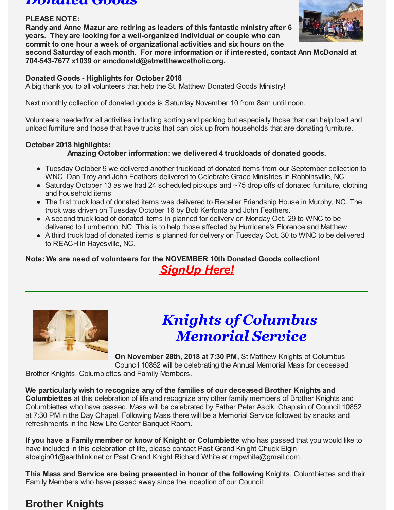#### *Donated Goods*

#### **PLEASE NOTE:**

**Randy and Anne Mazur are retiring as leaders of this fantastic ministry after 6 years. They are looking for a well-organized individual or couple who can commit to one hour a week of organizational activities and six hours on the**



**second Saturday of each month. For more information or if interested, contact Ann McDonald at 704-543-7677 x1039 or amcdonald@stmatthewcatholic.org.**

#### **Donated Goods - Highlights for October 2018**

A big thank you to all volunteers that help the St. Matthew Donated Goods Ministry!

Next monthly collection of donated goods is Saturday November 10 from 8am until noon.

Volunteers neededfor all activities including sorting and packing but especially those that can help load and unload furniture and those that have trucks that can pick up from households that are donating furniture.

### **October 2018 highlights:**

### **Amazing October information: we delivered 4 truckloads of donated goods.**

- Tuesday October 9 we delivered another truckload of donated items from our September collection to WNC. Dan Troy and John Feathers delivered to Celebrate Grace Ministries in Robbinsville, NC
- Saturday October 13 as we had 24 scheduled pickups and ~75 drop offs of donated furniture, clothing and household items
- The first truck load of donated items was delivered to Receller Friendship House in Murphy, NC. The truck was driven on Tuesday October 16 by Bob Kerfonta and John Feathers.
- A second truck load of donated items in planned for delivery on Monday Oct. 29 to WNC to be delivered to Lumberton, NC. This is to help those affected by Hurricane's Florence and Matthew.
- A third truck load of donated items is planned for delivery on Tuesday Oct. 30 to WNC to be delivered to REACH in Hayesville, NC.

### **Note: We are need of volunteers for the NOVEMBER 10th Donated Goods collection!** *SignUp Here!*



# *Knights of Columbus Memorial Service*

**On November 28th, 2018 at 7:30 PM,** St Matthew Knights of Columbus Council 10852 will be celebrating the Annual Memorial Mass for deceased

Brother Knights, Columbiettes and Family Members.

**We particularly wish to recognize any of the families of our deceased Brother Knights and Columbiettes** at this celebration of life and recognize any other family members of Brother Knights and Columbiettes who have passed. Mass will be celebrated by Father Peter Ascik, Chaplain of Council 10852 at 7:30 PM in the Day Chapel. Following Mass there will be a Memorial Service followed by snacks and refreshments in the New Life Center Banquet Room.

**If you have a Family member or know of Knight or Columbiette** who has passed that you would like to have included in this celebration of life, please contact Past Grand Knight Chuck Elgin atcelgin01@earthlink.net or Past Grand Knight Richard White at rmpwhite@gmail.com.

**This Mass and Service are being presented in honor of the following** Knights, Columbiettes and their Family Members who have passed away since the inception of our Council:

## **Brother Knights**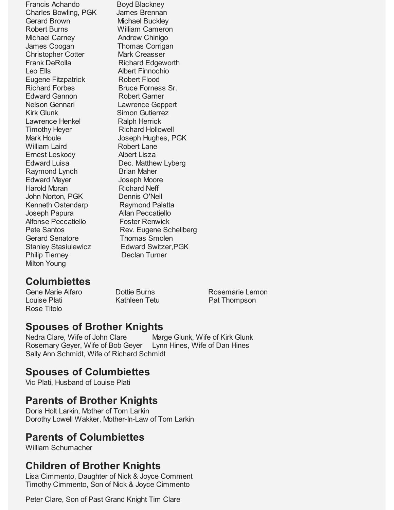Francis Achando Boyd Blackney Charles Bowling, PGK James Brennan Gerard Brown Michael Buckley Robert Burns William Cameron Michael Carney **Andrew Chinigo** James Coogan Thomas Corrigan Christopher Cotter Mark Creasser Frank DeRolla Richard Edgeworth Leo Ells Albert Finnochio Eugene Fitzpatrick Robert Flood Richard Forbes Bruce Forness Sr. Edward Gannon Robert Garner Nelson Gennari Lawrence Geppert Kirk Glunk Simon Gutierrez Lawrence Henkel Ralph Herrick Timothy Heyer Richard Hollowell Mark Houle **Joseph Hughes, PGK** William Laird **Robert Lane** Ernest Leskody Albert Lisza Edward Luisa Dec. Matthew Lyberg Raymond Lynch Brian Maher Edward Meyer **Joseph Moore** Harold Moran Richard Neff John Norton, PGK Dennis O'Neil Kenneth Ostendarp Raymond Palatta Joseph Papura Allan Peccatiello Alfonse Peccatiello Foster Renwick Gerard Senatore Thomas Smolen Philip Tierney Declan Turner Milton Young

Pete Santos Rev. Eugene Schellberg Stanley Stasiulewicz Edward Switzer, PGK

## **Columbiettes**

Louise Plati **Example 20** Kathleen Tetu **Pat Thompson** Rose Titolo

Gene Marie Alfaro **Burns** Dottie Burns **Rosemarie Lemon** 

## **Spouses of Brother Knights**

Nedra Clare, Wife of John Clare Marge Glunk, Wife of Kirk Glunk Rosemary Geyer, Wife of Bob Geyer Lynn Hines, Wife of Dan Hines Sally Ann Schmidt, Wife of Richard Schmidt

## **Spouses of Columbiettes**

Vic Plati, Husband of Louise Plati

## **Parents of Brother Knights**

Doris Holt Larkin, Mother of Tom Larkin Dorothy Lowell Wakker, Mother-In-Law of Tom Larkin

## **Parents of Columbiettes**

William Schumacher

## **Children of Brother Knights**

Lisa Cimmento, Daughter of Nick & Joyce Comment Timothy Cimmento, Son of Nick & Joyce Cimmento

Peter Clare, Son of Past Grand Knight Tim Clare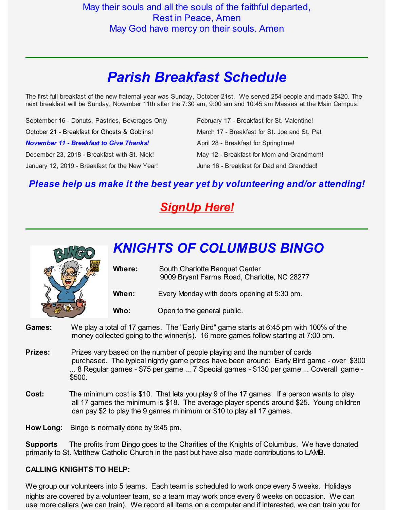# *Parish Breakfast Schedule*

The first full breakfast of the new fraternal year was Sunday, October 21st. We served 254 people and made \$420. The next breakfast will be Sunday, November 11th after the 7:30 am, 9:00 am and 10:45 am Masses at the Main Campus:

| September 16 - Donuts, Pastries, Beverages Only | February 17 - Breakfast for St. Valentine!   |
|-------------------------------------------------|----------------------------------------------|
| October 21 - Breakfast for Ghosts & Goblins!    | March 17 - Breakfast for St. Joe and St. Pat |
| <b>November 11 - Breakfast to Give Thanks!</b>  | April 28 - Breakfast for Springtime!         |
| December 23, 2018 - Breakfast with St. Nick!    | May 12 - Breakfast for Mom and Grandmom!     |
| January 12, 2019 - Breakfast for the New Year!  | June 16 - Breakfast for Dad and Granddad!    |

### *Please help us make it the best year yet by volunteering and/or attending!*

## *SignUp Here!*



- **Games:** We play a total of 17 games. The "Early Bird" game starts at 6:45 pm with 100% of the money collected going to the winner(s). 16 more games follow starting at 7:00 pm.
- **Prizes:** Prizes vary based on the number of people playing and the number of cards purchased. The typical nightly game prizes have been around: Early Bird game - over \$300 ... 8 Regular games - \$75 per game ... 7 Special games - \$130 per game ... Coverall game - \$500.
- **Cost:** The minimum cost is \$10. That lets you play 9 of the 17 games. If a person wants to play all 17 games the minimum is \$18. The average player spends around \$25. Young children can pay \$2 to play the 9 games minimum or \$10 to play all 17 games.

**How Long:** Bingo is normally done by 9:45 pm.

**Supports** The profits from Bingo goes to the Charities of the Knights of Columbus. We have donated primarily to St. Matthew Catholic Church in the past but have also made contributions to LAMB.

#### **CALLING KNIGHTS TO HELP:**

We group our volunteers into 5 teams. Each team is scheduled to work once every 5 weeks. Holidays nights are covered by a volunteer team, so a team may work once every 6 weeks on occasion. We can use more callers (we can train). We record all items on a computer and if interested, we can train you for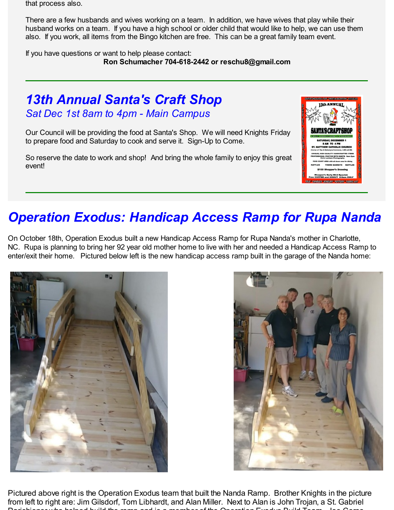that process also.

There are a few husbands and wives working on a team. In addition, we have wives that play while their husband works on a team. If you have a high school or older child that would like to help, we can use them also. If you work, all items from the Bingo kitchen are free. This can be a great family team event.

If you have questions or want to help please contact: **Ron Schumacher 704-618-2442 or reschu8@gmail.com**

## *13th Annual Santa's Craft Shop Sat Dec 1st 8am to 4pm - Main Campus*

Our Council will be providing the food at Santa's Shop. We will need Knights Friday to prepare food and Saturday to cook and serve it. Sign-Up to Come.

So reserve the date to work and shop! And bring the whole family to enjoy this great event!



# *Operation Exodus: Handicap Access Ramp for Rupa Nanda*

On October 18th, Operation Exodus built a new Handicap Access Ramp for Rupa Nanda's mother in Charlotte, NC. Rupa is planning to bring her 92 year old mother home to live with her and needed a Handicap Access Ramp to enter/exit their home. Pictured below left is the new handicap access ramp built in the garage of the Nanda home:





Pictured above right is the Operation Exodus team that built the Nanda Ramp. Brother Knights in the picture from left to right are: Jim Gilsdorf, Tom Libhardt, and Alan Miller. Next to Alan is John Trojan, a St. Gabriel Parishioner who helped build the ramp and is a member of the Operation Exodus Build Team. Joe Corso,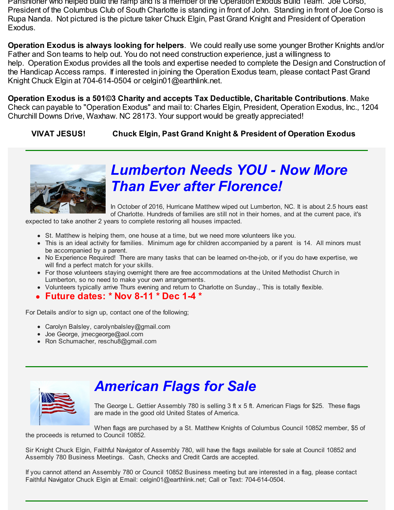Parishioner who helped build the ramp and is a member of the Operation Exodus Build Team. Joe Corso, President of the Columbus Club of South Charlotte is standing in front of John. Standing in front of Joe Corso is Rupa Nanda. Not pictured is the picture taker Chuck Elgin, Past Grand Knight and President of Operation Exodus.

**Operation Exodus is always looking for helpers**. We could really use some younger Brother Knights and/or Father and Son teams to help out. You do not need construction experience, just a willingness to help. Operation Exodus provides all the tools and expertise needed to complete the Design and Construction of the Handicap Access ramps. If interested in joining the Operation Exodus team, please contact Past Grand Knight Chuck Elgin at 704-614-0504 or celgin01@earthlink.net.

**Operation Exodus is a 501©3 Charity and accepts Tax Deductible, Charitable Contributions**. Make Check can payable to "Operation Exodus" and mail to: Charles Elgin, President, Operation Exodus, Inc., 1204 Churchill Downs Drive, Waxhaw. NC 28173. Your support would be greatly appreciated!

**VIVAT JESUS! Chuck Elgin, Past Grand Knight & President of Operation Exodus**



# *Lumberton Needs YOU - Now More Than Ever after Florence!*

In October of 2016, Hurricane Matthew wiped out Lumberton, NC. It is about 2.5 hours east of Charlotte. Hundreds of families are still not in their homes, and at the current pace, it's

expected to take another 2 years to complete restoring all houses impacted.

- St. Matthew is helping them, one house at a time, but we need more volunteers like you.
- This is an ideal activity for families. Minimum age for children accompanied by a parent is 14. All minors must be accompanied by a parent.
- No Experience Required! There are many tasks that can be learned on-the-job, or if you do have expertise, we will find a perfect match for your skills.
- For those volunteers staying overnight there are free accommodations at the United Methodist Church in Lumberton, so no need to make your own arrangements.
- Volunteers typically arrive Thurs evening and return to Charlotte on Sunday., This is totally flexible.
- **Future dates: \* Nov 8-11 \* Dec 1-4 \***

For Details and/or to sign up, contact one of the following;

- Carolyn Balsley, carolynbalsley@gmail.com
- Joe George, jmecgeorge@aol.com
- Ron Schumacher, reschu8@gmail.com



## *American Flags for Sale*

The George L. Gettier Assembly 780 is selling 3 ft x 5 ft. American Flags for \$25. These flags are made in the good old United States of America.

When flags are purchased by a St. Matthew Knights of Columbus Council 10852 member, \$5 of the proceeds is returned to Council 10852.

Sir Knight Chuck Elgin, Faithful Navigator of Assembly 780, will have the flags available for sale at Council 10852 and Assembly 780 Business Meetings. Cash, Checks and Credit Cards are accepted.

If you cannot attend an Assembly 780 or Council 10852 Business meeting but are interested in a flag, please contact Faithful Navigator Chuck Elgin at Email: celgin01@earthlink.net; Call or Text: 704-614-0504.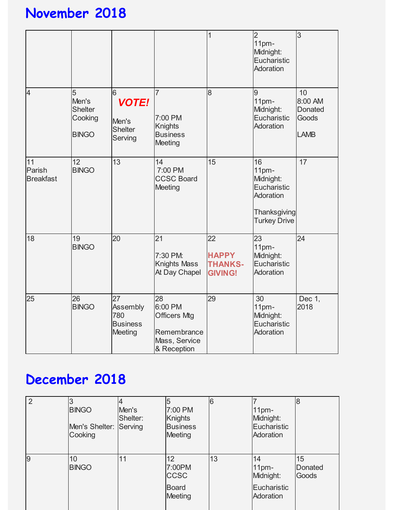# **November 2018**

|                                  |                                                         |                                                            |                                                                                     | $\mathbf 1$                                            | $\overline{2}$<br>11pm-<br>Midnight:<br>Eucharistic<br>Adoration                            | 3                                                       |
|----------------------------------|---------------------------------------------------------|------------------------------------------------------------|-------------------------------------------------------------------------------------|--------------------------------------------------------|---------------------------------------------------------------------------------------------|---------------------------------------------------------|
| $\overline{4}$                   | 5<br>Men's<br><b>Shelter</b><br>Cooking<br><b>BINGO</b> | 6<br><b>VOTE!</b><br>Men's<br><b>Shelter</b><br>Serving    | $\overline{7}$<br>7:00 PM<br><b>Knights</b><br><b>Business</b><br>Meeting           | 8                                                      | 9<br>11pm-<br>Midnight:<br>Eucharistic<br>Adoration                                         | 10<br>8:00 AM<br><b>Donated</b><br>Goods<br><b>LAMB</b> |
| 11<br>Parish<br><b>Breakfast</b> | 12<br><b>BINGO</b>                                      | 13                                                         | 14<br>7:00 PM<br><b>CCSC Board</b><br><b>Meeting</b>                                | 15                                                     | 16<br>11pm-<br>Midnight:<br>Eucharistic<br>Adoration<br>Thanksgiving<br><b>Turkey Drive</b> | 17                                                      |
| 18                               | 19<br><b>BINGO</b>                                      | 20                                                         | 21<br>7:30 PM:<br><b>Knights Mass</b><br>At Day Chapel                              | 22<br><b>HAPPY</b><br><b>THANKS-</b><br><b>GIVING!</b> | 23<br>11pm-<br>Midnight:<br>Eucharistic<br>Adoration                                        | 24                                                      |
| 25                               | 26<br><b>BINGO</b>                                      | 27<br>Assembly<br>780<br><b>Business</b><br><b>Meeting</b> | 28<br>6:00 PM<br><b>Officers Mtg</b><br>Remembrance<br>Mass, Service<br>& Reception | 29                                                     | 30<br>11pm-<br>Midnight:<br>Eucharistic<br>Adoration                                        | Dec 1,<br>2018                                          |

# **December 2018**

|                | <b>BINGO</b><br>Men's Shelter: Serving<br>Cooking | Men's<br>Shelter: | 7:00 PM<br>Knights<br><b>Business</b><br><b>Meeting</b>       | 6  | 11 <sub>pm</sub><br>Midnight:<br>Eucharistic<br>Adoration       |                               |
|----------------|---------------------------------------------------|-------------------|---------------------------------------------------------------|----|-----------------------------------------------------------------|-------------------------------|
| $\overline{9}$ | 10<br><b>BINGO</b>                                | 11                | 12<br>7:00PM<br><b>CCSC</b><br><b>Board</b><br><b>Meeting</b> | 13 | 14<br>11 <sub>pm</sub><br>Midnight:<br>Eucharistic<br>Adoration | 15<br><b>Donated</b><br>Goods |